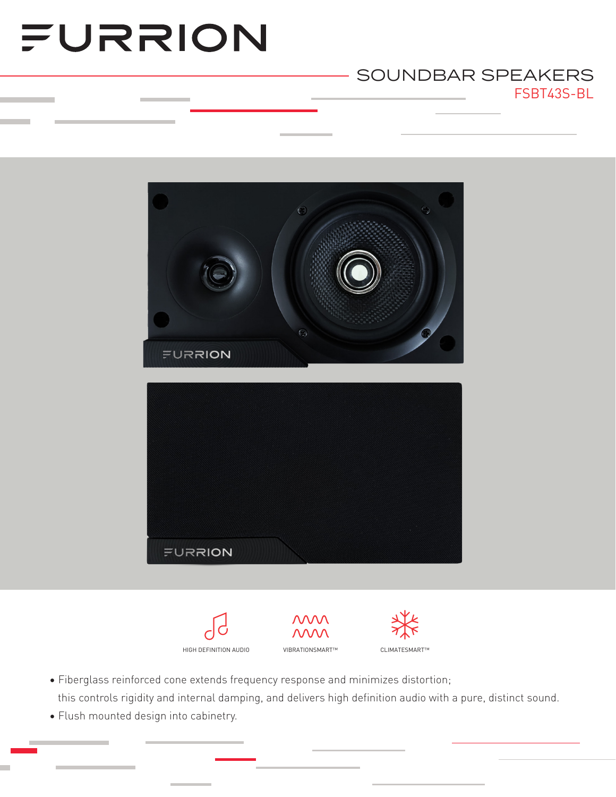# FURRION

### FSBT43S-BL SOUNDBAR SPEAKERS





- Fiberglass reinforced cone extends frequency response and minimizes distortion; this controls rigidity and internal damping, and delivers high definition audio with a pure, distinct sound.
- Flush mounted design into cabinetry.